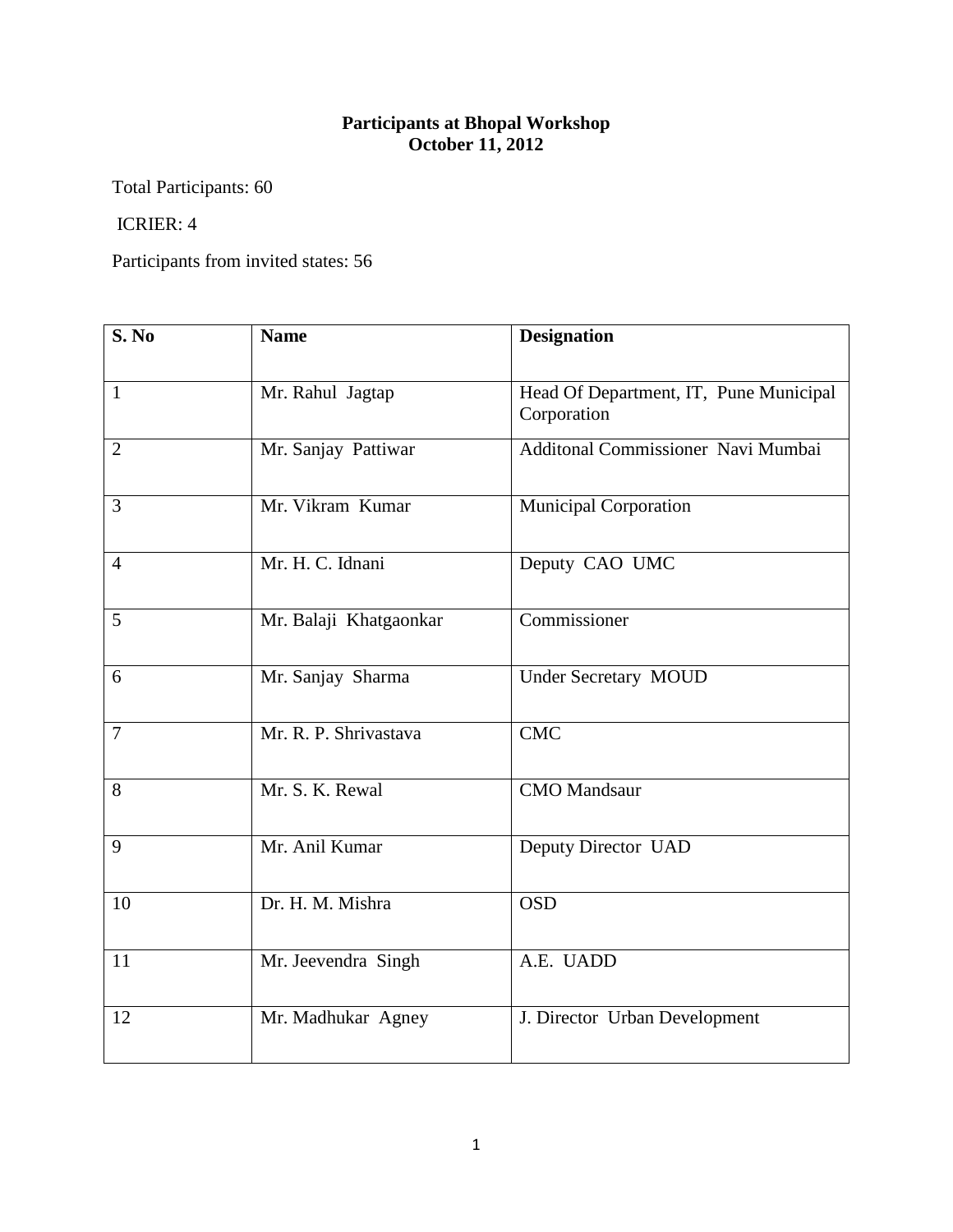## **Participants at Bhopal Workshop October 11, 2012**

Total Participants: 60

## ICRIER: 4

Participants from invited states: 56

| S. No          | <b>Name</b>            | <b>Designation</b>                                    |
|----------------|------------------------|-------------------------------------------------------|
| $\mathbf{1}$   | Mr. Rahul Jagtap       | Head Of Department, IT, Pune Municipal<br>Corporation |
| $\overline{2}$ | Mr. Sanjay Pattiwar    | Additonal Commissioner Navi Mumbai                    |
| 3              | Mr. Vikram Kumar       | <b>Municipal Corporation</b>                          |
| $\overline{4}$ | Mr. H. C. Idnani       | Deputy CAO UMC                                        |
| 5              | Mr. Balaji Khatgaonkar | Commissioner                                          |
| 6              | Mr. Sanjay Sharma      | <b>Under Secretary MOUD</b>                           |
| $\overline{7}$ | Mr. R. P. Shrivastava  | <b>CMC</b>                                            |
| 8              | Mr. S. K. Rewal        | <b>CMO</b> Mandsaur                                   |
| 9              | Mr. Anil Kumar         | Deputy Director UAD                                   |
| 10             | Dr. H. M. Mishra       | <b>OSD</b>                                            |
| 11             | Mr. Jeevendra Singh    | A.E. UADD                                             |
| 12             | Mr. Madhukar Agney     | J. Director Urban Development                         |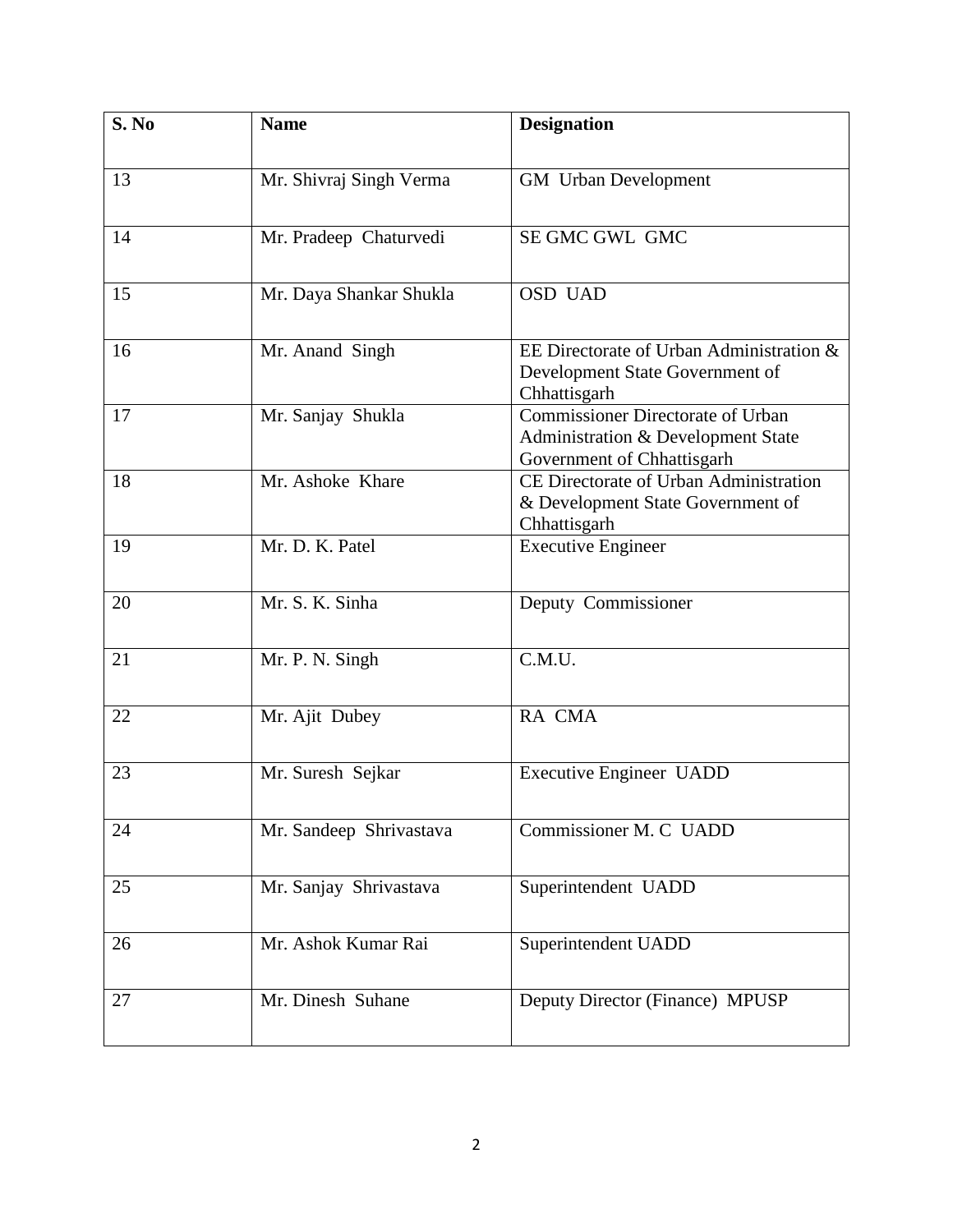| S. No | <b>Name</b>             | <b>Designation</b>                                                                                           |
|-------|-------------------------|--------------------------------------------------------------------------------------------------------------|
| 13    | Mr. Shivraj Singh Verma | <b>GM</b> Urban Development                                                                                  |
| 14    | Mr. Pradeep Chaturvedi  | SE GMC GWL GMC                                                                                               |
| 15    | Mr. Daya Shankar Shukla | <b>OSD UAD</b>                                                                                               |
| 16    | Mr. Anand Singh         | EE Directorate of Urban Administration &<br>Development State Government of<br>Chhattisgarh                  |
| 17    | Mr. Sanjay Shukla       | <b>Commissioner Directorate of Urban</b><br>Administration & Development State<br>Government of Chhattisgarh |
| 18    | Mr. Ashoke Khare        | CE Directorate of Urban Administration<br>& Development State Government of<br>Chhattisgarh                  |
| 19    | Mr. D. K. Patel         | <b>Executive Engineer</b>                                                                                    |
| 20    | Mr. S. K. Sinha         | Deputy Commissioner                                                                                          |
| 21    | Mr. P. N. Singh         | C.M.U.                                                                                                       |
| 22    | Mr. Ajit Dubey          | RA CMA                                                                                                       |
| 23    | Mr. Suresh Sejkar       | <b>Executive Engineer UADD</b>                                                                               |
| 24    | Mr. Sandeep Shrivastava | Commissioner M. C UADD                                                                                       |
| 25    | Mr. Sanjay Shrivastava  | Superintendent UADD                                                                                          |
| 26    | Mr. Ashok Kumar Rai     | Superintendent UADD                                                                                          |
| 27    | Mr. Dinesh Suhane       | Deputy Director (Finance) MPUSP                                                                              |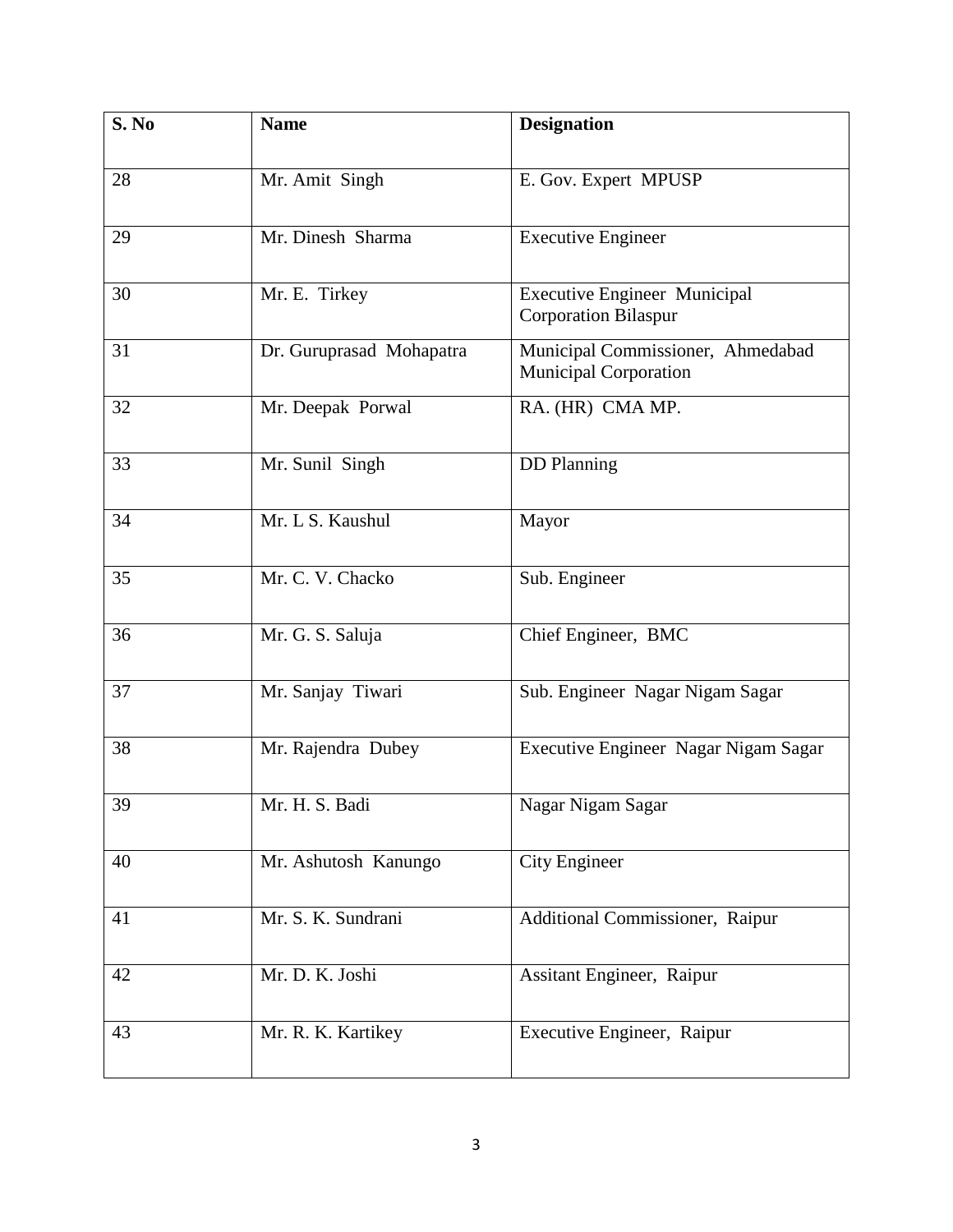| S. No | <b>Name</b>              | <b>Designation</b>                                                 |
|-------|--------------------------|--------------------------------------------------------------------|
| 28    | Mr. Amit Singh           | E. Gov. Expert MPUSP                                               |
| 29    | Mr. Dinesh Sharma        | <b>Executive Engineer</b>                                          |
| 30    | Mr. E. Tirkey            | <b>Executive Engineer Municipal</b><br><b>Corporation Bilaspur</b> |
| 31    | Dr. Guruprasad Mohapatra | Municipal Commissioner, Ahmedabad<br><b>Municipal Corporation</b>  |
| 32    | Mr. Deepak Porwal        | RA. (HR) CMA MP.                                                   |
| 33    | Mr. Sunil Singh          | <b>DD</b> Planning                                                 |
| 34    | Mr. L S. Kaushul         | Mayor                                                              |
| 35    | Mr. C. V. Chacko         | Sub. Engineer                                                      |
| 36    | Mr. G. S. Saluja         | Chief Engineer, BMC                                                |
| 37    | Mr. Sanjay Tiwari        | Sub. Engineer Nagar Nigam Sagar                                    |
| 38    | Mr. Rajendra Dubey       | Executive Engineer Nagar Nigam Sagar                               |
| 39    | Mr. H. S. Badi           | Nagar Nigam Sagar                                                  |
| 40    | Mr. Ashutosh Kanungo     | <b>City Engineer</b>                                               |
| 41    | Mr. S. K. Sundrani       | Additional Commissioner, Raipur                                    |
| 42    | Mr. D. K. Joshi          | Assitant Engineer, Raipur                                          |
| 43    | Mr. R. K. Kartikey       | Executive Engineer, Raipur                                         |